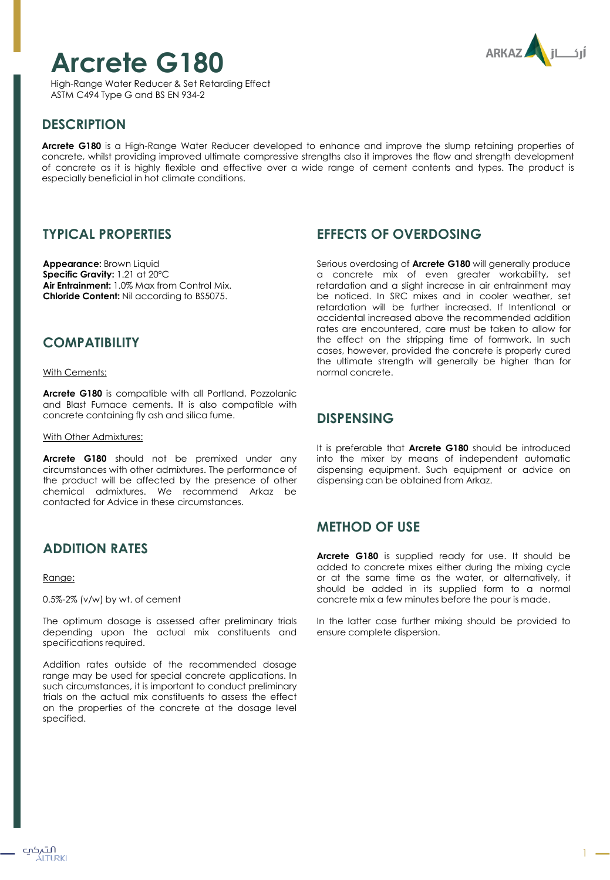# **Arcrete G180**

High-Range Water Reducer & Set Retarding Effect ASTM C494 Type G and BS EN 934-2



# **DESCRIPTION**

**Arcrete G180** is a High-Range Water Reducer developed to enhance and improve the slump retaining properties of concrete, whilst providing improved ultimate compressive strengths also it improves the flow and strength development of concrete as it is highly flexible and effective over a wide range of cement contents and types. The product is especially beneficial in hot climate conditions.

## **TYPICAL PROPERTIES**

**Appearance:** Brown Liquid **Specific Gravity:** 1.21 at 20ºC **Air Entrainment:** 1.0% Max from Control Mix. **Chloride Content:** Nil according to BS5075.

## **COMPATIBILITY**

With Cements:

**Arcrete G180** is compatible with all Portland, Pozzolanic and Blast Furnace cements. It is also compatible with concrete containing fly ash and silica fume.

With Other Admixtures:

**Arcrete G180** should not be premixed under any circumstances with other admixtures. The performance of the product will be affected by the presence of other chemical admixtures. We recommend Arkaz be contacted for Advice in these circumstances.

# **ADDITION RATES**

Range:

0.5%-2% (v/w) by wt. of cement

The optimum dosage is assessed after preliminary trials depending upon the actual mix constituents and specifications required.

Addition rates outside of the recommended dosage range may be used for special concrete applications. In such circumstances, it is important to conduct preliminary trials on the actual mix constituents to assess the effect on the properties of the concrete at the dosage level specified.

## **EFFECTS OF OVERDOSING**

Serious overdosing of **Arcrete G180** will generally produce a concrete mix of even greater workability, set retardation and a slight increase in air entrainment may be noticed. In SRC mixes and in cooler weather, set retardation will be further increased. If Intentional or accidental increased above the recommended addition rates are encountered, care must be taken to allow for the effect on the stripping time of formwork. In such cases, however, provided the concrete is properly cured the ultimate strength will generally be higher than for normal concrete.

## **DISPENSING**

It is preferable that **Arcrete G180** should be introduced into the mixer by means of independent automatic dispensing equipment. Such equipment or advice on dispensing can be obtained from Arkaz.

# **METHOD OF USE**

**Arcrete G180** is supplied ready for use. It should be added to concrete mixes either during the mixing cycle or at the same time as the water, or alternatively, it should be added in its supplied form to a normal concrete mix a few minutes before the pour is made.

In the latter case further mixing should be provided to ensure complete dispersion.